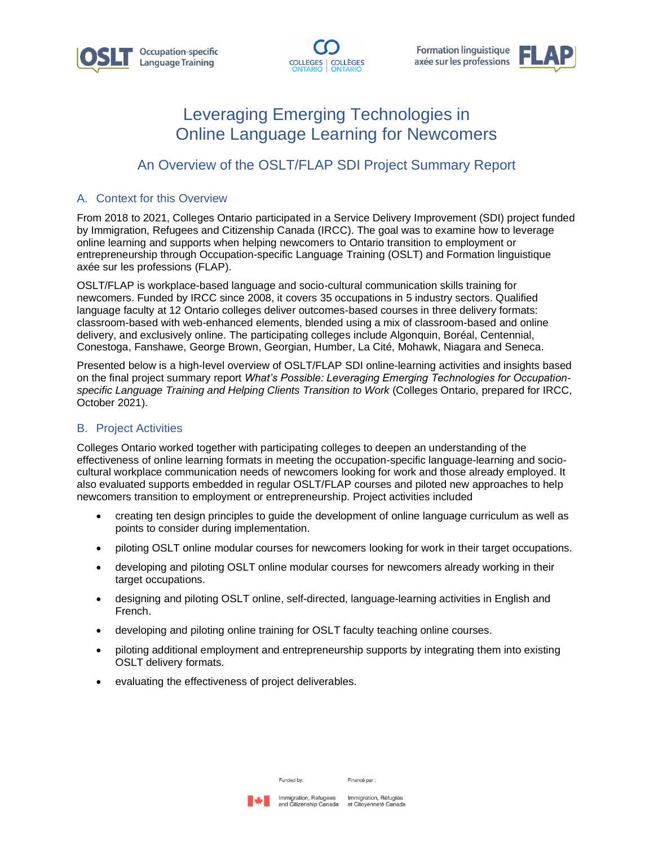



**Formation linguistique** axée sur les professions



# Leveraging Emerging Technologies in Online Language Learning for Newcomers

## An Overview of the OSLT/FLAP SDI Project Summary Report

#### A. Context for this Overview

From 2018 to 2021, Colleges Ontario participated in a Service Delivery Improvement (SDI) project funded by Immigration, Refugees and Citizenship Canada (IRCC). The goal was to examine how to leverage online learning and supports when helping newcomers to Ontario transition to employment or entrepreneurship through Occupation-specific Language Training (OSLT) and Formation linguistique axée sur les professions (FLAP).

OSLT/FLAP is workplace-based language and socio-cultural communication skills training for newcomers. Funded by IRCC since 2008, it covers 35 occupations in 5 industry sectors. Qualified language faculty at 12 Ontario colleges deliver outcomes-based courses in three delivery formats: classroom-based with web-enhanced elements, blended using a mix of classroom-based and online delivery, and exclusively online. The participating colleges include Algonquin, Boréal, Centennial, Conestoga, Fanshawe, George Brown, Georgian, Humber, La Cité, Mohawk, Niagara and Seneca.

Presented below is a high-level overview of OSLT/FLAP SDI online-learning activities and insights based on the final project summary report *What's Possible: Leveraging Emerging Technologies for Occupationspecific Language Training and Helping Clients Transition to Work* (Colleges Ontario, prepared for IRCC, October 2021).

#### B. Project Activities

Colleges Ontario worked together with participating colleges to deepen an understanding of the effectiveness of online learning formats in meeting the occupation-specific language-learning and sociocultural workplace communication needs of newcomers looking for work and those already employed. It also evaluated supports embedded in regular OSLT/FLAP courses and piloted new approaches to help newcomers transition to employment or entrepreneurship. Project activities included

- creating ten design principles to guide the development of online language curriculum as well as points to consider during implementation.
- piloting OSLT online modular courses for newcomers looking for work in their target occupations.
- developing and piloting OSLT online modular courses for newcomers already working in their target occupations.
- designing and piloting OSLT online, self-directed, language-learning activities in English and French.
- developing and piloting online training for OSLT faculty teaching online courses.
- piloting additional employment and entrepreneurship supports by integrating them into existing OSLT delivery formats.
- evaluating the effectiveness of project deliverables.